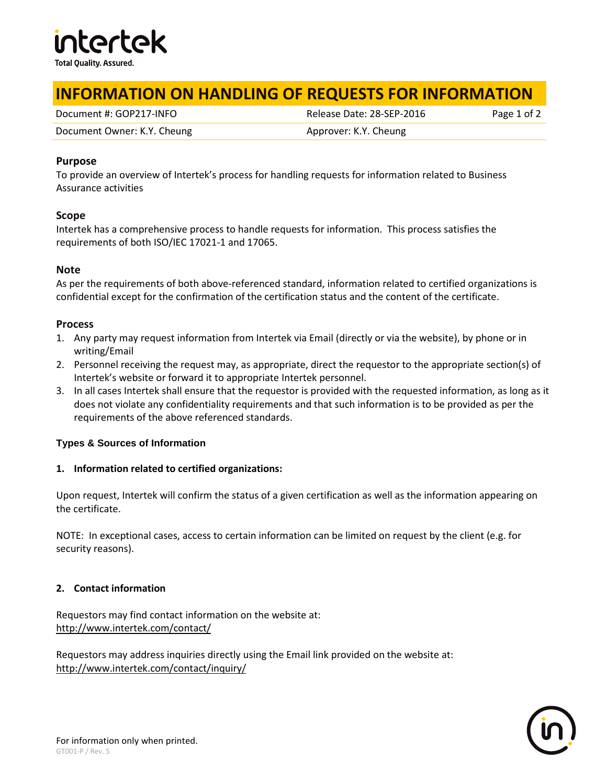

## **INFORMATION ON HANDLING OF REQUESTS FOR INFORMATION**

Document #: GOP217-INFO Release Date: 28-SEP-2016 Page 1 of 2

Document Owner: K.Y. Cheung **Approver: K.Y. Cheung** Approver: K.Y. Cheung

#### **Purpose**

To provide an overview of Intertek's process for handling requests for information related to Business Assurance activities

#### **Scope**

Intertek has a comprehensive process to handle requests for information. This process satisfies the requirements of both ISO/IEC 17021-1 and 17065.

#### **Note**

As per the requirements of both above-referenced standard, information related to certified organizations is confidential except for the confirmation of the certification status and the content of the certificate.

#### **Process**

- 1. Any party may request information from Intertek via Email (directly or via the website), by phone or in writing/Email
- 2. Personnel receiving the request may, as appropriate, direct the requestor to the appropriate section(s) of Intertek's website or forward it to appropriate Intertek personnel.
- 3. In all cases Intertek shall ensure that the requestor is provided with the requested information, as long as it does not violate any confidentiality requirements and that such information is to be provided as per the requirements of the above referenced standards.

## **Types & Sources of Information**

## **1. Information related to certified organizations:**

Upon request, Intertek will confirm the status of a given certification as well as the information appearing on the certificate.

NOTE: In exceptional cases, access to certain information can be limited on request by the client (e.g. for security reasons).

## **2. Contact information**

Requestors may find contact information on the website at: <http://www.intertek.com/contact/>

Requestors may address inquiries directly using the Email link provided on the website at: <http://www.intertek.com/contact/inquiry/>